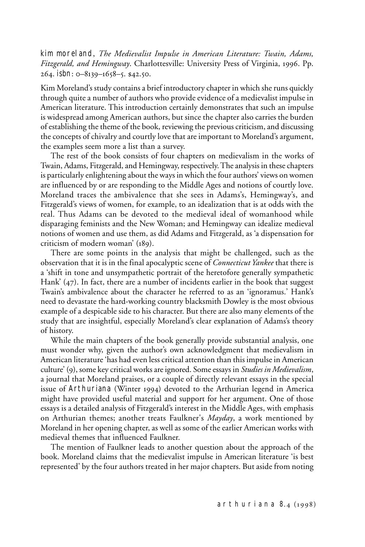kim moreland, *The Medievalist Impulse in American Literature: Twain, Adams, Fitzgerald, and Hemingway*. Charlottesville: University Press of Virginia, 1996. Pp. 264. isbn: 0–8139–1658–5. \$42.50.

Kim Moreland's study contains a brief introductory chapter in which she runs quickly through quite a number of authors who provide evidence of a medievalist impulse in American literature. This introduction certainly demonstrates that such an impulse is widespread among American authors, but since the chapter also carries the burden of establishing the theme of the book, reviewing the previous criticism, and discussing the concepts of chivalry and courtly love that are important to Moreland's argument, the examples seem more a list than a survey.

The rest of the book consists of four chapters on medievalism in the works of Twain, Adams, Fitzgerald, and Hemingway, respectively. The analysis in these chapters is particularly enlightening about the ways in which the four authors' views on women are influenced by or are responding to the Middle Ages and notions of courtly love. Moreland traces the ambivalence that she sees in Adams's, Hemingway's, and Fitzgerald's views of women, for example, to an idealization that is at odds with the real. Thus Adams can be devoted to the medieval ideal of womanhood while disparaging feminists and the New Woman; and Hemingway can idealize medieval notions of women and use them, as did Adams and Fitzgerald, as 'a dispensation for criticism of modern woman' (189).

There are some points in the analysis that might be challenged, such as the observation that it is in the final apocalyptic scene of *Connecticut Yankee* that there is a 'shift in tone and unsympathetic portrait of the heretofore generally sympathetic Hank' (47). In fact, there are a number of incidents earlier in the book that suggest Twain's ambivalence about the character he referred to as an 'ignoramus.' Hank's need to devastate the hard-working country blacksmith Dowley is the most obvious example of a despicable side to his character. But there are also many elements of the study that are insightful, especially Moreland's clear explanation of Adams's theory of history.

While the main chapters of the book generally provide substantial analysis, one must wonder why, given the author's own acknowledgment that medievalism in American literature 'has had even less critical attention than this impulse in American culture' (9), some key critical works are ignored. Some essays in *Studies in Medievalism*, a journal that Moreland praises, or a couple of directly relevant essays in the special issue of Arthuriana (Winter 1994) devoted to the Arthurian legend in America might have provided useful material and support for her argument. One of those essays is a detailed analysis of Fitzgerald's interest in the Middle Ages, with emphasis on Arthurian themes; another treats Faulkner's *Mayday*, a work mentioned by Moreland in her opening chapter, as well as some of the earlier American works with medieval themes that influenced Faulkner.

The mention of Faulkner leads to another question about the approach of the book. Moreland claims that the medievalist impulse in American literature 'is best represented' by the four authors treated in her major chapters. But aside from noting